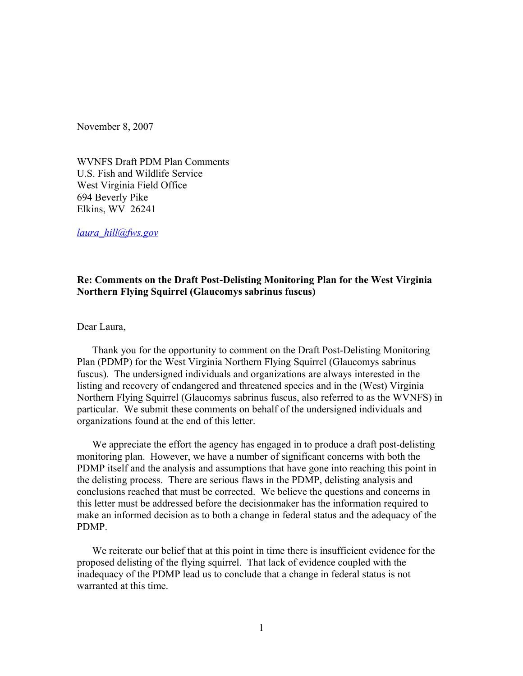November 8, 2007

WVNFS Draft PDM Plan Comments U.S. Fish and Wildlife Service West Virginia Field Office 694 Beverly Pike Elkins, WV 26241

*[laura\\_hill@fws.gov](mailto:laura_hill@fws.gov)*

# **Re: Comments on the Draft Post-Delisting Monitoring Plan for the West Virginia Northern Flying Squirrel (Glaucomys sabrinus fuscus)**

Dear Laura,

Thank you for the opportunity to comment on the Draft Post-Delisting Monitoring Plan (PDMP) for the West Virginia Northern Flying Squirrel (Glaucomys sabrinus fuscus). The undersigned individuals and organizations are always interested in the listing and recovery of endangered and threatened species and in the (West) Virginia Northern Flying Squirrel (Glaucomys sabrinus fuscus, also referred to as the WVNFS) in particular. We submit these comments on behalf of the undersigned individuals and organizations found at the end of this letter.

We appreciate the effort the agency has engaged in to produce a draft post-delisting monitoring plan. However, we have a number of significant concerns with both the PDMP itself and the analysis and assumptions that have gone into reaching this point in the delisting process. There are serious flaws in the PDMP, delisting analysis and conclusions reached that must be corrected. We believe the questions and concerns in this letter must be addressed before the decisionmaker has the information required to make an informed decision as to both a change in federal status and the adequacy of the PDMP.

We reiterate our belief that at this point in time there is insufficient evidence for the proposed delisting of the flying squirrel. That lack of evidence coupled with the inadequacy of the PDMP lead us to conclude that a change in federal status is not warranted at this time.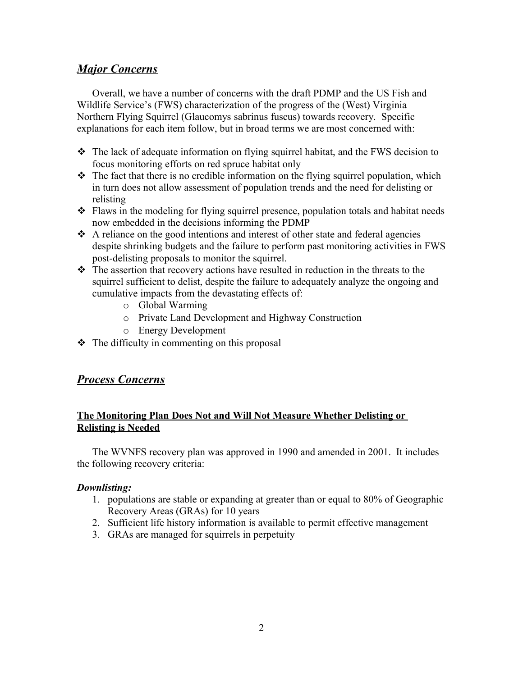# *Major Concerns*

Overall, we have a number of concerns with the draft PDMP and the US Fish and Wildlife Service's (FWS) characterization of the progress of the (West) Virginia Northern Flying Squirrel (Glaucomys sabrinus fuscus) towards recovery. Specific explanations for each item follow, but in broad terms we are most concerned with:

- The lack of adequate information on flying squirrel habitat, and the FWS decision to focus monitoring efforts on red spruce habitat only
- $\cdot \cdot$  The fact that there is <u>no</u> credible information on the flying squirrel population, which in turn does not allow assessment of population trends and the need for delisting or relisting
- \* Flaws in the modeling for flying squirrel presence, population totals and habitat needs now embedded in the decisions informing the PDMP
- $\triangle$  A reliance on the good intentions and interest of other state and federal agencies despite shrinking budgets and the failure to perform past monitoring activities in FWS post-delisting proposals to monitor the squirrel.
- $\hat{\mathbf{v}}$  The assertion that recovery actions have resulted in reduction in the threats to the squirrel sufficient to delist, despite the failure to adequately analyze the ongoing and cumulative impacts from the devastating effects of:
	- o Global Warming
	- o Private Land Development and Highway Construction
	- o Energy Development
- $\triangle$  The difficulty in commenting on this proposal

# *Process Concerns*

# **The Monitoring Plan Does Not and Will Not Measure Whether Delisting or Relisting is Needed**

The WVNFS recovery plan was approved in 1990 and amended in 2001. It includes the following recovery criteria:

# *Downlisting:*

- 1. populations are stable or expanding at greater than or equal to 80% of Geographic Recovery Areas (GRAs) for 10 years
- 2. Sufficient life history information is available to permit effective management
- 3. GRAs are managed for squirrels in perpetuity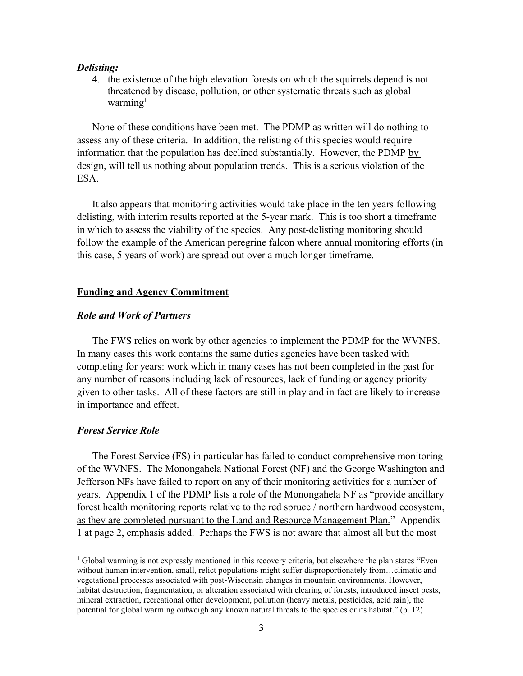#### *Delisting:*

4. the existence of the high elevation forests on which the squirrels depend is not threatened by disease, pollution, or other systematic threats such as global warming $1$ 

None of these conditions have been met. The PDMP as written will do nothing to assess any of these criteria. In addition, the relisting of this species would require information that the population has declined substantially. However, the PDMP by design, will tell us nothing about population trends. This is a serious violation of the ESA.

It also appears that monitoring activities would take place in the ten years following delisting, with interim results reported at the 5-year mark. This is too short a timeframe in which to assess the viability of the species. Any post-delisting monitoring should follow the example of the American peregrine falcon where annual monitoring efforts (in this case, 5 years of work) are spread out over a much longer timefrarne.

# **Funding and Agency Commitment**

### *Role and Work of Partners*

The FWS relies on work by other agencies to implement the PDMP for the WVNFS. In many cases this work contains the same duties agencies have been tasked with completing for years: work which in many cases has not been completed in the past for any number of reasons including lack of resources, lack of funding or agency priority given to other tasks. All of these factors are still in play and in fact are likely to increase in importance and effect.

#### *Forest Service Role*

The Forest Service (FS) in particular has failed to conduct comprehensive monitoring of the WVNFS. The Monongahela National Forest (NF) and the George Washington and Jefferson NFs have failed to report on any of their monitoring activities for a number of years. Appendix 1 of the PDMP lists a role of the Monongahela NF as "provide ancillary forest health monitoring reports relative to the red spruce / northern hardwood ecosystem, as they are completed pursuant to the Land and Resource Management Plan." Appendix 1 at page 2, emphasis added. Perhaps the FWS is not aware that almost all but the most

<span id="page-2-0"></span><sup>1</sup> Global warming is not expressly mentioned in this recovery criteria, but elsewhere the plan states "Even without human intervention, small, relict populations might suffer disproportionately from…climatic and vegetational processes associated with post-Wisconsin changes in mountain environments. However, habitat destruction, fragmentation, or alteration associated with clearing of forests, introduced insect pests, mineral extraction, recreational other development, pollution (heavy metals, pesticides, acid rain), the potential for global warming outweigh any known natural threats to the species or its habitat." (p. 12)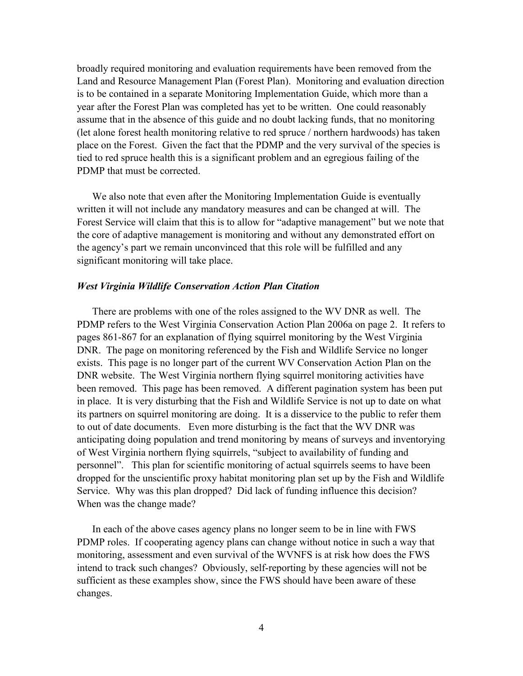broadly required monitoring and evaluation requirements have been removed from the Land and Resource Management Plan (Forest Plan). Monitoring and evaluation direction is to be contained in a separate Monitoring Implementation Guide, which more than a year after the Forest Plan was completed has yet to be written. One could reasonably assume that in the absence of this guide and no doubt lacking funds, that no monitoring (let alone forest health monitoring relative to red spruce / northern hardwoods) has taken place on the Forest. Given the fact that the PDMP and the very survival of the species is tied to red spruce health this is a significant problem and an egregious failing of the PDMP that must be corrected.

We also note that even after the Monitoring Implementation Guide is eventually written it will not include any mandatory measures and can be changed at will. The Forest Service will claim that this is to allow for "adaptive management" but we note that the core of adaptive management is monitoring and without any demonstrated effort on the agency's part we remain unconvinced that this role will be fulfilled and any significant monitoring will take place.

### *West Virginia Wildlife Conservation Action Plan Citation*

There are problems with one of the roles assigned to the WV DNR as well. The PDMP refers to the West Virginia Conservation Action Plan 2006a on page 2. It refers to pages 861-867 for an explanation of flying squirrel monitoring by the West Virginia DNR. The page on monitoring referenced by the Fish and Wildlife Service no longer exists. This page is no longer part of the current WV Conservation Action Plan on the DNR website. The West Virginia northern flying squirrel monitoring activities have been removed. This page has been removed. A different pagination system has been put in place. It is very disturbing that the Fish and Wildlife Service is not up to date on what its partners on squirrel monitoring are doing. It is a disservice to the public to refer them to out of date documents. Even more disturbing is the fact that the WV DNR was anticipating doing population and trend monitoring by means of surveys and inventorying of West Virginia northern flying squirrels, "subject to availability of funding and personnel". This plan for scientific monitoring of actual squirrels seems to have been dropped for the unscientific proxy habitat monitoring plan set up by the Fish and Wildlife Service. Why was this plan dropped? Did lack of funding influence this decision? When was the change made?

In each of the above cases agency plans no longer seem to be in line with FWS PDMP roles. If cooperating agency plans can change without notice in such a way that monitoring, assessment and even survival of the WVNFS is at risk how does the FWS intend to track such changes? Obviously, self-reporting by these agencies will not be sufficient as these examples show, since the FWS should have been aware of these changes.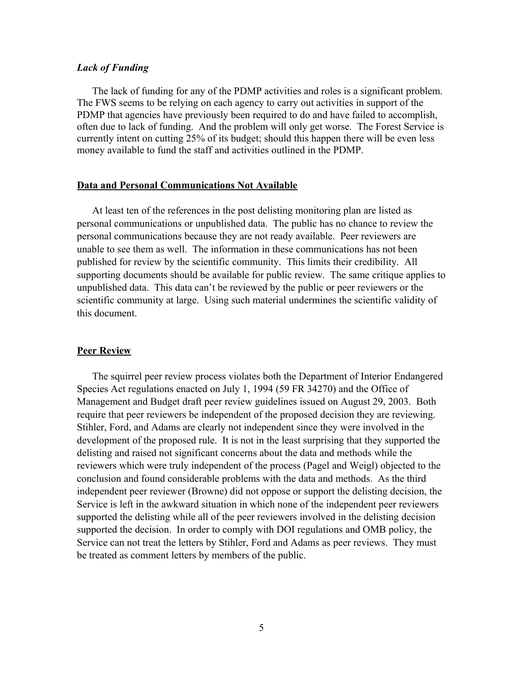### *Lack of Funding*

The lack of funding for any of the PDMP activities and roles is a significant problem. The FWS seems to be relying on each agency to carry out activities in support of the PDMP that agencies have previously been required to do and have failed to accomplish, often due to lack of funding. And the problem will only get worse. The Forest Service is currently intent on cutting 25% of its budget; should this happen there will be even less money available to fund the staff and activities outlined in the PDMP.

#### **Data and Personal Communications Not Available**

At least ten of the references in the post delisting monitoring plan are listed as personal communications or unpublished data. The public has no chance to review the personal communications because they are not ready available. Peer reviewers are unable to see them as well. The information in these communications has not been published for review by the scientific community. This limits their credibility. All supporting documents should be available for public review. The same critique applies to unpublished data. This data can't be reviewed by the public or peer reviewers or the scientific community at large. Using such material undermines the scientific validity of this document.

#### **Peer Review**

The squirrel peer review process violates both the Department of Interior Endangered Species Act regulations enacted on July 1, 1994 (59 FR 34270) and the Office of Management and Budget draft peer review guidelines issued on August 29, 2003. Both require that peer reviewers be independent of the proposed decision they are reviewing. Stihler, Ford, and Adams are clearly not independent since they were involved in the development of the proposed rule. It is not in the least surprising that they supported the delisting and raised not significant concerns about the data and methods while the reviewers which were truly independent of the process (Pagel and Weigl) objected to the conclusion and found considerable problems with the data and methods. As the third independent peer reviewer (Browne) did not oppose or support the delisting decision, the Service is left in the awkward situation in which none of the independent peer reviewers supported the delisting while all of the peer reviewers involved in the delisting decision supported the decision. In order to comply with DOI regulations and OMB policy, the Service can not treat the letters by Stihler, Ford and Adams as peer reviews. They must be treated as comment letters by members of the public.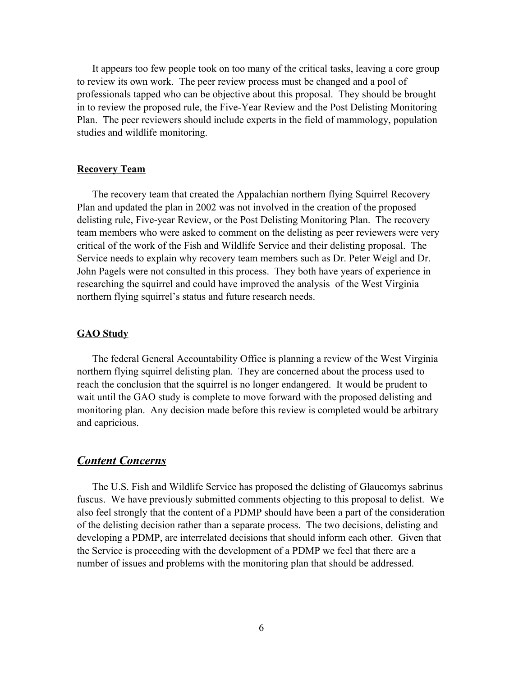It appears too few people took on too many of the critical tasks, leaving a core group to review its own work. The peer review process must be changed and a pool of professionals tapped who can be objective about this proposal. They should be brought in to review the proposed rule, the Five-Year Review and the Post Delisting Monitoring Plan. The peer reviewers should include experts in the field of mammology, population studies and wildlife monitoring.

# **Recovery Team**

The recovery team that created the Appalachian northern flying Squirrel Recovery Plan and updated the plan in 2002 was not involved in the creation of the proposed delisting rule, Five-year Review, or the Post Delisting Monitoring Plan. The recovery team members who were asked to comment on the delisting as peer reviewers were very critical of the work of the Fish and Wildlife Service and their delisting proposal. The Service needs to explain why recovery team members such as Dr. Peter Weigl and Dr. John Pagels were not consulted in this process. They both have years of experience in researching the squirrel and could have improved the analysis of the West Virginia northern flying squirrel's status and future research needs.

#### **GAO Study**

The federal General Accountability Office is planning a review of the West Virginia northern flying squirrel delisting plan. They are concerned about the process used to reach the conclusion that the squirrel is no longer endangered. It would be prudent to wait until the GAO study is complete to move forward with the proposed delisting and monitoring plan. Any decision made before this review is completed would be arbitrary and capricious.

# *Content Concerns*

The U.S. Fish and Wildlife Service has proposed the delisting of Glaucomys sabrinus fuscus. We have previously submitted comments objecting to this proposal to delist. We also feel strongly that the content of a PDMP should have been a part of the consideration of the delisting decision rather than a separate process. The two decisions, delisting and developing a PDMP, are interrelated decisions that should inform each other. Given that the Service is proceeding with the development of a PDMP we feel that there are a number of issues and problems with the monitoring plan that should be addressed.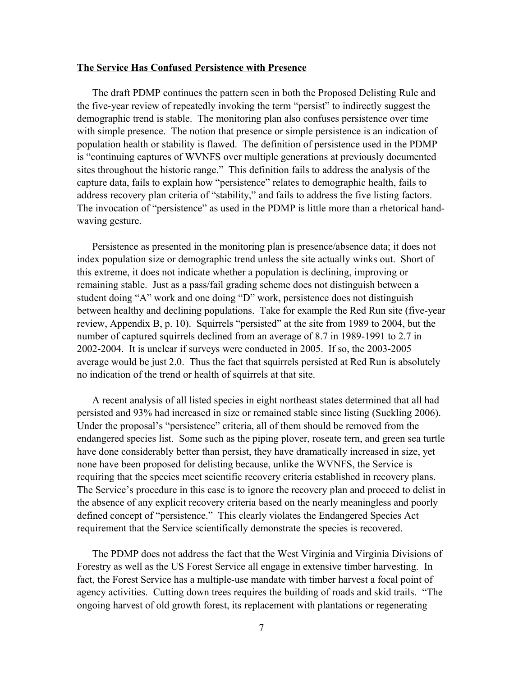#### **The Service Has Confused Persistence with Presence**

The draft PDMP continues the pattern seen in both the Proposed Delisting Rule and the five-year review of repeatedly invoking the term "persist" to indirectly suggest the demographic trend is stable. The monitoring plan also confuses persistence over time with simple presence. The notion that presence or simple persistence is an indication of population health or stability is flawed. The definition of persistence used in the PDMP is "continuing captures of WVNFS over multiple generations at previously documented sites throughout the historic range." This definition fails to address the analysis of the capture data, fails to explain how "persistence" relates to demographic health, fails to address recovery plan criteria of "stability," and fails to address the five listing factors. The invocation of "persistence" as used in the PDMP is little more than a rhetorical handwaving gesture.

Persistence as presented in the monitoring plan is presence/absence data; it does not index population size or demographic trend unless the site actually winks out. Short of this extreme, it does not indicate whether a population is declining, improving or remaining stable. Just as a pass/fail grading scheme does not distinguish between a student doing "A" work and one doing "D" work, persistence does not distinguish between healthy and declining populations. Take for example the Red Run site (five-year review, Appendix B, p. 10). Squirrels "persisted" at the site from 1989 to 2004, but the number of captured squirrels declined from an average of 8.7 in 1989-1991 to 2.7 in 2002-2004. It is unclear if surveys were conducted in 2005. If so, the 2003-2005 average would be just 2.0. Thus the fact that squirrels persisted at Red Run is absolutely no indication of the trend or health of squirrels at that site.

A recent analysis of all listed species in eight northeast states determined that all had persisted and 93% had increased in size or remained stable since listing (Suckling 2006). Under the proposal's "persistence" criteria, all of them should be removed from the endangered species list. Some such as the piping plover, roseate tern, and green sea turtle have done considerably better than persist, they have dramatically increased in size, yet none have been proposed for delisting because, unlike the WVNFS, the Service is requiring that the species meet scientific recovery criteria established in recovery plans. The Service's procedure in this case is to ignore the recovery plan and proceed to delist in the absence of any explicit recovery criteria based on the nearly meaningless and poorly defined concept of "persistence." This clearly violates the Endangered Species Act requirement that the Service scientifically demonstrate the species is recovered.

The PDMP does not address the fact that the West Virginia and Virginia Divisions of Forestry as well as the US Forest Service all engage in extensive timber harvesting. In fact, the Forest Service has a multiple-use mandate with timber harvest a focal point of agency activities. Cutting down trees requires the building of roads and skid trails. "The ongoing harvest of old growth forest, its replacement with plantations or regenerating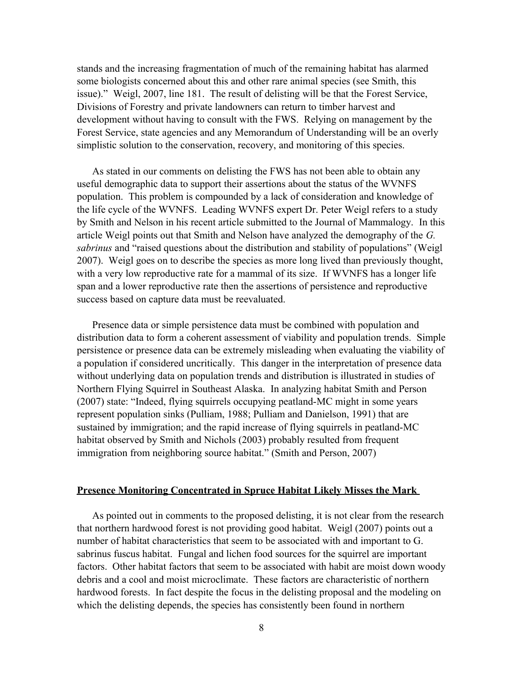stands and the increasing fragmentation of much of the remaining habitat has alarmed some biologists concerned about this and other rare animal species (see Smith, this issue)." Weigl, 2007, line 181. The result of delisting will be that the Forest Service, Divisions of Forestry and private landowners can return to timber harvest and development without having to consult with the FWS. Relying on management by the Forest Service, state agencies and any Memorandum of Understanding will be an overly simplistic solution to the conservation, recovery, and monitoring of this species.

As stated in our comments on delisting the FWS has not been able to obtain any useful demographic data to support their assertions about the status of the WVNFS population. This problem is compounded by a lack of consideration and knowledge of the life cycle of the WVNFS. Leading WVNFS expert Dr. Peter Weigl refers to a study by Smith and Nelson in his recent article submitted to the Journal of Mammalogy. In this article Weigl points out that Smith and Nelson have analyzed the demography of the *G. sabrinus* and "raised questions about the distribution and stability of populations" (Weigl 2007). Weigl goes on to describe the species as more long lived than previously thought, with a very low reproductive rate for a mammal of its size. If WVNFS has a longer life span and a lower reproductive rate then the assertions of persistence and reproductive success based on capture data must be reevaluated.

Presence data or simple persistence data must be combined with population and distribution data to form a coherent assessment of viability and population trends. Simple persistence or presence data can be extremely misleading when evaluating the viability of a population if considered uncritically. This danger in the interpretation of presence data without underlying data on population trends and distribution is illustrated in studies of Northern Flying Squirrel in Southeast Alaska. In analyzing habitat Smith and Person (2007) state: "Indeed, flying squirrels occupying peatland-MC might in some years represent population sinks (Pulliam, 1988; Pulliam and Danielson, 1991) that are sustained by immigration; and the rapid increase of flying squirrels in peatland-MC habitat observed by Smith and Nichols (2003) probably resulted from frequent immigration from neighboring source habitat." (Smith and Person, 2007)

#### **Presence Monitoring Concentrated in Spruce Habitat Likely Misses the Mark**

As pointed out in comments to the proposed delisting, it is not clear from the research that northern hardwood forest is not providing good habitat. Weigl (2007) points out a number of habitat characteristics that seem to be associated with and important to G. sabrinus fuscus habitat. Fungal and lichen food sources for the squirrel are important factors. Other habitat factors that seem to be associated with habit are moist down woody debris and a cool and moist microclimate. These factors are characteristic of northern hardwood forests. In fact despite the focus in the delisting proposal and the modeling on which the delisting depends, the species has consistently been found in northern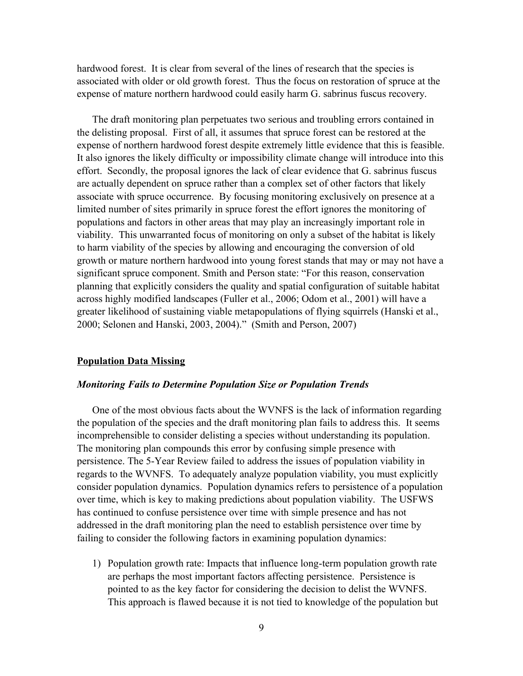hardwood forest. It is clear from several of the lines of research that the species is associated with older or old growth forest. Thus the focus on restoration of spruce at the expense of mature northern hardwood could easily harm G. sabrinus fuscus recovery.

The draft monitoring plan perpetuates two serious and troubling errors contained in the delisting proposal. First of all, it assumes that spruce forest can be restored at the expense of northern hardwood forest despite extremely little evidence that this is feasible. It also ignores the likely difficulty or impossibility climate change will introduce into this effort. Secondly, the proposal ignores the lack of clear evidence that G. sabrinus fuscus are actually dependent on spruce rather than a complex set of other factors that likely associate with spruce occurrence. By focusing monitoring exclusively on presence at a limited number of sites primarily in spruce forest the effort ignores the monitoring of populations and factors in other areas that may play an increasingly important role in viability. This unwarranted focus of monitoring on only a subset of the habitat is likely to harm viability of the species by allowing and encouraging the conversion of old growth or mature northern hardwood into young forest stands that may or may not have a significant spruce component. Smith and Person state: "For this reason, conservation planning that explicitly considers the quality and spatial configuration of suitable habitat across highly modified landscapes (Fuller et al., 2006; Odom et al., 2001) will have a greater likelihood of sustaining viable metapopulations of flying squirrels (Hanski et al., 2000; Selonen and Hanski, 2003, 2004)." (Smith and Person, 2007)

# **Population Data Missing**

# *Monitoring Fails to Determine Population Size or Population Trends*

One of the most obvious facts about the WVNFS is the lack of information regarding the population of the species and the draft monitoring plan fails to address this. It seems incomprehensible to consider delisting a species without understanding its population. The monitoring plan compounds this error by confusing simple presence with persistence. The 5-Year Review failed to address the issues of population viability in regards to the WVNFS. To adequately analyze population viability, you must explicitly consider population dynamics. Population dynamics refers to persistence of a population over time, which is key to making predictions about population viability. The USFWS has continued to confuse persistence over time with simple presence and has not addressed in the draft monitoring plan the need to establish persistence over time by failing to consider the following factors in examining population dynamics:

1) Population growth rate: Impacts that influence long-term population growth rate are perhaps the most important factors affecting persistence. Persistence is pointed to as the key factor for considering the decision to delist the WVNFS. This approach is flawed because it is not tied to knowledge of the population but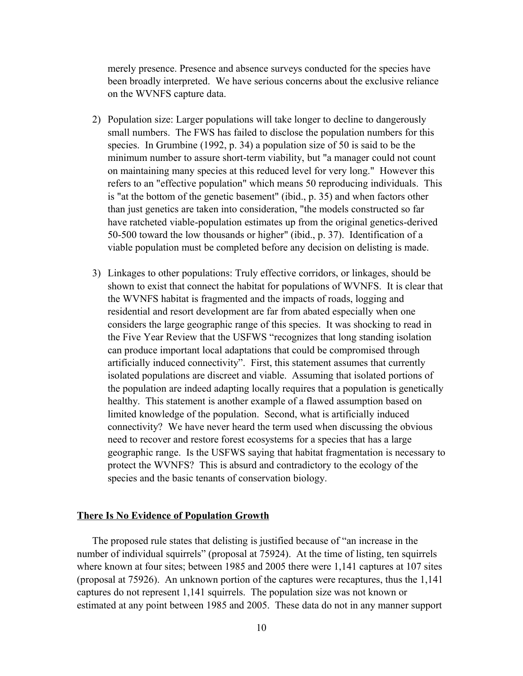merely presence. Presence and absence surveys conducted for the species have been broadly interpreted. We have serious concerns about the exclusive reliance on the WVNFS capture data.

- 2) Population size: Larger populations will take longer to decline to dangerously small numbers. The FWS has failed to disclose the population numbers for this species. In Grumbine (1992, p. 34) a population size of 50 is said to be the minimum number to assure short-term viability, but "a manager could not count on maintaining many species at this reduced level for very long." However this refers to an "effective population" which means 50 reproducing individuals. This is "at the bottom of the genetic basement" (ibid., p. 35) and when factors other than just genetics are taken into consideration, "the models constructed so far have ratcheted viable-population estimates up from the original genetics-derived 50-500 toward the low thousands or higher" (ibid., p. 37). Identification of a viable population must be completed before any decision on delisting is made.
- 3) Linkages to other populations: Truly effective corridors, or linkages, should be shown to exist that connect the habitat for populations of WVNFS. It is clear that the WVNFS habitat is fragmented and the impacts of roads, logging and residential and resort development are far from abated especially when one considers the large geographic range of this species. It was shocking to read in the Five Year Review that the USFWS "recognizes that long standing isolation can produce important local adaptations that could be compromised through artificially induced connectivity". First, this statement assumes that currently isolated populations are discreet and viable. Assuming that isolated portions of the population are indeed adapting locally requires that a population is genetically healthy. This statement is another example of a flawed assumption based on limited knowledge of the population. Second, what is artificially induced connectivity? We have never heard the term used when discussing the obvious need to recover and restore forest ecosystems for a species that has a large geographic range. Is the USFWS saying that habitat fragmentation is necessary to protect the WVNFS? This is absurd and contradictory to the ecology of the species and the basic tenants of conservation biology.

#### **There Is No Evidence of Population Growth**

The proposed rule states that delisting is justified because of "an increase in the number of individual squirrels" (proposal at 75924). At the time of listing, ten squirrels where known at four sites; between 1985 and 2005 there were 1,141 captures at 107 sites (proposal at 75926). An unknown portion of the captures were recaptures, thus the 1,141 captures do not represent 1,141 squirrels. The population size was not known or estimated at any point between 1985 and 2005. These data do not in any manner support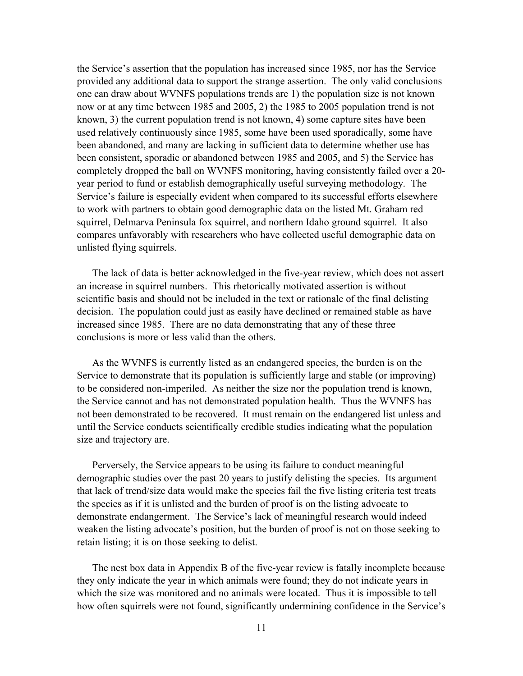the Service's assertion that the population has increased since 1985, nor has the Service provided any additional data to support the strange assertion. The only valid conclusions one can draw about WVNFS populations trends are 1) the population size is not known now or at any time between 1985 and 2005, 2) the 1985 to 2005 population trend is not known, 3) the current population trend is not known, 4) some capture sites have been used relatively continuously since 1985, some have been used sporadically, some have been abandoned, and many are lacking in sufficient data to determine whether use has been consistent, sporadic or abandoned between 1985 and 2005, and 5) the Service has completely dropped the ball on WVNFS monitoring, having consistently failed over a 20 year period to fund or establish demographically useful surveying methodology. The Service's failure is especially evident when compared to its successful efforts elsewhere to work with partners to obtain good demographic data on the listed Mt. Graham red squirrel, Delmarva Peninsula fox squirrel, and northern Idaho ground squirrel. It also compares unfavorably with researchers who have collected useful demographic data on unlisted flying squirrels.

The lack of data is better acknowledged in the five-year review, which does not assert an increase in squirrel numbers. This rhetorically motivated assertion is without scientific basis and should not be included in the text or rationale of the final delisting decision. The population could just as easily have declined or remained stable as have increased since 1985. There are no data demonstrating that any of these three conclusions is more or less valid than the others.

As the WVNFS is currently listed as an endangered species, the burden is on the Service to demonstrate that its population is sufficiently large and stable (or improving) to be considered non-imperiled. As neither the size nor the population trend is known, the Service cannot and has not demonstrated population health. Thus the WVNFS has not been demonstrated to be recovered. It must remain on the endangered list unless and until the Service conducts scientifically credible studies indicating what the population size and trajectory are.

Perversely, the Service appears to be using its failure to conduct meaningful demographic studies over the past 20 years to justify delisting the species. Its argument that lack of trend/size data would make the species fail the five listing criteria test treats the species as if it is unlisted and the burden of proof is on the listing advocate to demonstrate endangerment. The Service's lack of meaningful research would indeed weaken the listing advocate's position, but the burden of proof is not on those seeking to retain listing; it is on those seeking to delist.

The nest box data in Appendix B of the five-year review is fatally incomplete because they only indicate the year in which animals were found; they do not indicate years in which the size was monitored and no animals were located. Thus it is impossible to tell how often squirrels were not found, significantly undermining confidence in the Service's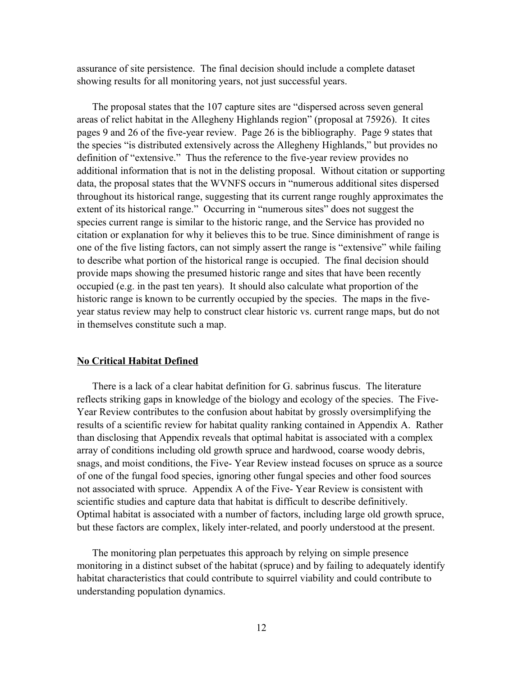assurance of site persistence. The final decision should include a complete dataset showing results for all monitoring years, not just successful years.

The proposal states that the 107 capture sites are "dispersed across seven general areas of relict habitat in the Allegheny Highlands region" (proposal at 75926). It cites pages 9 and 26 of the five-year review. Page 26 is the bibliography. Page 9 states that the species "is distributed extensively across the Allegheny Highlands," but provides no definition of "extensive." Thus the reference to the five-year review provides no additional information that is not in the delisting proposal. Without citation or supporting data, the proposal states that the WVNFS occurs in "numerous additional sites dispersed throughout its historical range, suggesting that its current range roughly approximates the extent of its historical range." Occurring in "numerous sites" does not suggest the species current range is similar to the historic range, and the Service has provided no citation or explanation for why it believes this to be true. Since diminishment of range is one of the five listing factors, can not simply assert the range is "extensive" while failing to describe what portion of the historical range is occupied. The final decision should provide maps showing the presumed historic range and sites that have been recently occupied (e.g. in the past ten years). It should also calculate what proportion of the historic range is known to be currently occupied by the species. The maps in the fiveyear status review may help to construct clear historic vs. current range maps, but do not in themselves constitute such a map.

# **No Critical Habitat Defined**

There is a lack of a clear habitat definition for G. sabrinus fuscus. The literature reflects striking gaps in knowledge of the biology and ecology of the species. The Five-Year Review contributes to the confusion about habitat by grossly oversimplifying the results of a scientific review for habitat quality ranking contained in Appendix A. Rather than disclosing that Appendix reveals that optimal habitat is associated with a complex array of conditions including old growth spruce and hardwood, coarse woody debris, snags, and moist conditions, the Five- Year Review instead focuses on spruce as a source of one of the fungal food species, ignoring other fungal species and other food sources not associated with spruce. Appendix A of the Five- Year Review is consistent with scientific studies and capture data that habitat is difficult to describe definitively. Optimal habitat is associated with a number of factors, including large old growth spruce, but these factors are complex, likely inter-related, and poorly understood at the present.

The monitoring plan perpetuates this approach by relying on simple presence monitoring in a distinct subset of the habitat (spruce) and by failing to adequately identify habitat characteristics that could contribute to squirrel viability and could contribute to understanding population dynamics.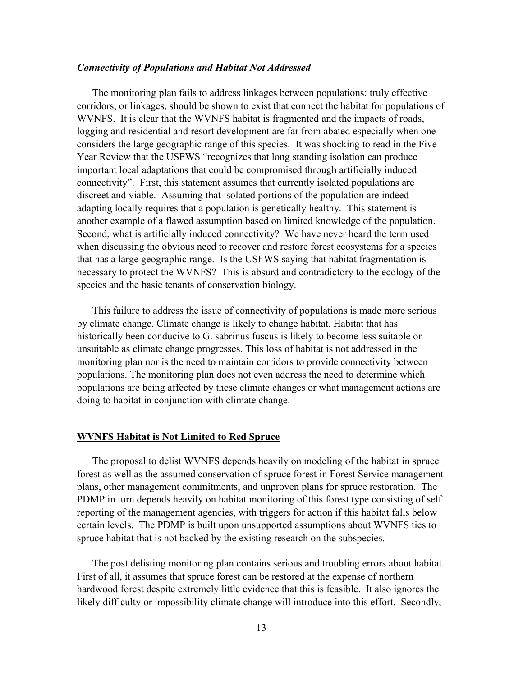#### *Connectivity of Populations and Habitat Not Addressed*

The monitoring plan fails to address linkages between populations: truly effective corridors, or linkages, should be shown to exist that connect the habitat for populations of WVNFS. It is clear that the WVNFS habitat is fragmented and the impacts of roads, logging and residential and resort development are far from abated especially when one considers the large geographic range of this species. It was shocking to read in the Five Year Review that the USFWS "recognizes that long standing isolation can produce important local adaptations that could be compromised through artificially induced connectivity". First, this statement assumes that currently isolated populations are discreet and viable. Assuming that isolated portions of the population are indeed adapting locally requires that a population is genetically healthy. This statement is another example of a flawed assumption based on limited knowledge of the population. Second, what is artificially induced connectivity? We have never heard the term used when discussing the obvious need to recover and restore forest ecosystems for a species that has a large geographic range. Is the USFWS saying that habitat fragmentation is necessary to protect the WVNFS? This is absurd and contradictory to the ecology of the species and the basic tenants of conservation biology.

This failure to address the issue of connectivity of populations is made more serious by climate change. Climate change is likely to change habitat. Habitat that has historically been conducive to G. sabrinus fuscus is likely to become less suitable or unsuitable as climate change progresses. This loss of habitat is not addressed in the monitoring plan nor is the need to maintain corridors to provide connectivity between populations. The monitoring plan does not even address the need to determine which populations are being affected by these climate changes or what management actions are doing to habitat in conjunction with climate change.

#### **WVNFS Habitat is Not Limited to Red Spruce**

The proposal to delist WVNFS depends heavily on modeling of the habitat in spruce forest as well as the assumed conservation of spruce forest in Forest Service management plans, other management commitments, and unproven plans for spruce restoration. The PDMP in turn depends heavily on habitat monitoring of this forest type consisting of self reporting of the management agencies, with triggers for action if this habitat falls below certain levels. The PDMP is built upon unsupported assumptions about WVNFS ties to spruce habitat that is not backed by the existing research on the subspecies.

The post delisting monitoring plan contains serious and troubling errors about habitat. First of all, it assumes that spruce forest can be restored at the expense of northern hardwood forest despite extremely little evidence that this is feasible. It also ignores the likely difficulty or impossibility climate change will introduce into this effort. Secondly,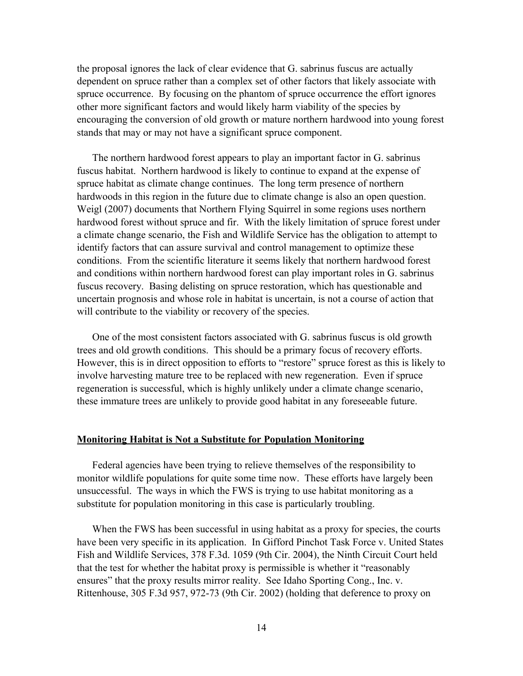the proposal ignores the lack of clear evidence that G. sabrinus fuscus are actually dependent on spruce rather than a complex set of other factors that likely associate with spruce occurrence. By focusing on the phantom of spruce occurrence the effort ignores other more significant factors and would likely harm viability of the species by encouraging the conversion of old growth or mature northern hardwood into young forest stands that may or may not have a significant spruce component.

The northern hardwood forest appears to play an important factor in G. sabrinus fuscus habitat. Northern hardwood is likely to continue to expand at the expense of spruce habitat as climate change continues. The long term presence of northern hardwoods in this region in the future due to climate change is also an open question. Weigl (2007) documents that Northern Flying Squirrel in some regions uses northern hardwood forest without spruce and fir. With the likely limitation of spruce forest under a climate change scenario, the Fish and Wildlife Service has the obligation to attempt to identify factors that can assure survival and control management to optimize these conditions. From the scientific literature it seems likely that northern hardwood forest and conditions within northern hardwood forest can play important roles in G. sabrinus fuscus recovery. Basing delisting on spruce restoration, which has questionable and uncertain prognosis and whose role in habitat is uncertain, is not a course of action that will contribute to the viability or recovery of the species.

One of the most consistent factors associated with G. sabrinus fuscus is old growth trees and old growth conditions. This should be a primary focus of recovery efforts. However, this is in direct opposition to efforts to "restore" spruce forest as this is likely to involve harvesting mature tree to be replaced with new regeneration. Even if spruce regeneration is successful, which is highly unlikely under a climate change scenario, these immature trees are unlikely to provide good habitat in any foreseeable future.

#### **Monitoring Habitat is Not a Substitute for Population Monitoring**

Federal agencies have been trying to relieve themselves of the responsibility to monitor wildlife populations for quite some time now. These efforts have largely been unsuccessful. The ways in which the FWS is trying to use habitat monitoring as a substitute for population monitoring in this case is particularly troubling.

When the FWS has been successful in using habitat as a proxy for species, the courts have been very specific in its application. In Gifford Pinchot Task Force v. United States Fish and Wildlife Services, 378 F.3d. 1059 (9th Cir. 2004), the Ninth Circuit Court held that the test for whether the habitat proxy is permissible is whether it "reasonably ensures" that the proxy results mirror reality. See Idaho Sporting Cong., Inc. v. Rittenhouse, 305 F.3d 957, 972-73 (9th Cir. 2002) (holding that deference to proxy on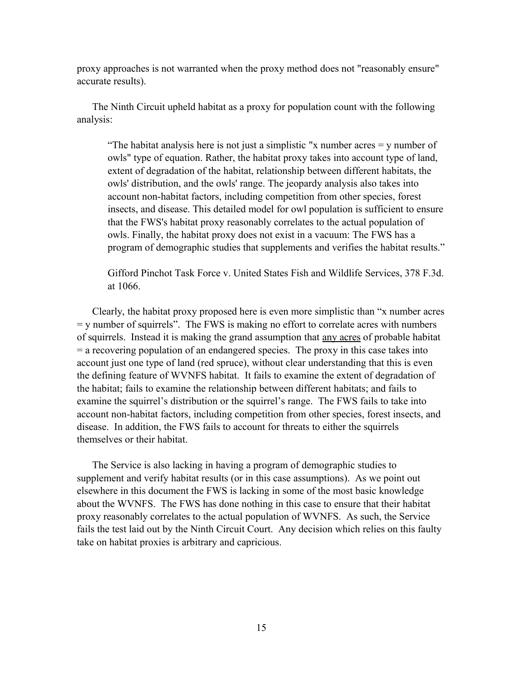proxy approaches is not warranted when the proxy method does not "reasonably ensure" accurate results).

The Ninth Circuit upheld habitat as a proxy for population count with the following analysis:

"The habitat analysis here is not just a simplistic "x number acres  $=$  y number of owls" type of equation. Rather, the habitat proxy takes into account type of land, extent of degradation of the habitat, relationship between different habitats, the owls' distribution, and the owls' range. The jeopardy analysis also takes into account non-habitat factors, including competition from other species, forest insects, and disease. This detailed model for owl population is sufficient to ensure that the FWS's habitat proxy reasonably correlates to the actual population of owls. Finally, the habitat proxy does not exist in a vacuum: The FWS has a program of demographic studies that supplements and verifies the habitat results."

Gifford Pinchot Task Force v. United States Fish and Wildlife Services, 378 F.3d. at 1066.

Clearly, the habitat proxy proposed here is even more simplistic than "x number acres = y number of squirrels". The FWS is making no effort to correlate acres with numbers of squirrels. Instead it is making the grand assumption that any acres of probable habitat = a recovering population of an endangered species. The proxy in this case takes into account just one type of land (red spruce), without clear understanding that this is even the defining feature of WVNFS habitat. It fails to examine the extent of degradation of the habitat; fails to examine the relationship between different habitats; and fails to examine the squirrel's distribution or the squirrel's range. The FWS fails to take into account non-habitat factors, including competition from other species, forest insects, and disease. In addition, the FWS fails to account for threats to either the squirrels themselves or their habitat.

The Service is also lacking in having a program of demographic studies to supplement and verify habitat results (or in this case assumptions). As we point out elsewhere in this document the FWS is lacking in some of the most basic knowledge about the WVNFS. The FWS has done nothing in this case to ensure that their habitat proxy reasonably correlates to the actual population of WVNFS. As such, the Service fails the test laid out by the Ninth Circuit Court. Any decision which relies on this faulty take on habitat proxies is arbitrary and capricious.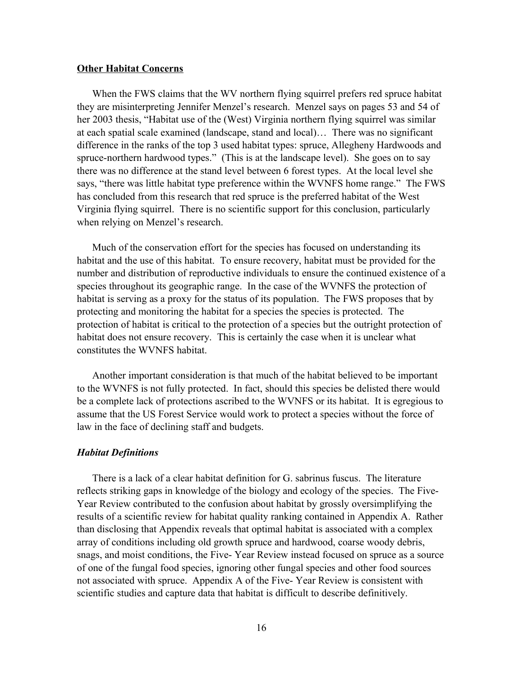#### **Other Habitat Concerns**

When the FWS claims that the WV northern flying squirrel prefers red spruce habitat they are misinterpreting Jennifer Menzel's research. Menzel says on pages 53 and 54 of her 2003 thesis, "Habitat use of the (West) Virginia northern flying squirrel was similar at each spatial scale examined (landscape, stand and local)… There was no significant difference in the ranks of the top 3 used habitat types: spruce, Allegheny Hardwoods and spruce-northern hardwood types." (This is at the landscape level). She goes on to say there was no difference at the stand level between 6 forest types. At the local level she says, "there was little habitat type preference within the WVNFS home range." The FWS has concluded from this research that red spruce is the preferred habitat of the West Virginia flying squirrel. There is no scientific support for this conclusion, particularly when relying on Menzel's research.

Much of the conservation effort for the species has focused on understanding its habitat and the use of this habitat. To ensure recovery, habitat must be provided for the number and distribution of reproductive individuals to ensure the continued existence of a species throughout its geographic range. In the case of the WVNFS the protection of habitat is serving as a proxy for the status of its population. The FWS proposes that by protecting and monitoring the habitat for a species the species is protected. The protection of habitat is critical to the protection of a species but the outright protection of habitat does not ensure recovery. This is certainly the case when it is unclear what constitutes the WVNFS habitat.

Another important consideration is that much of the habitat believed to be important to the WVNFS is not fully protected. In fact, should this species be delisted there would be a complete lack of protections ascribed to the WVNFS or its habitat. It is egregious to assume that the US Forest Service would work to protect a species without the force of law in the face of declining staff and budgets.

#### *Habitat Definitions*

There is a lack of a clear habitat definition for G. sabrinus fuscus. The literature reflects striking gaps in knowledge of the biology and ecology of the species. The Five-Year Review contributed to the confusion about habitat by grossly oversimplifying the results of a scientific review for habitat quality ranking contained in Appendix A. Rather than disclosing that Appendix reveals that optimal habitat is associated with a complex array of conditions including old growth spruce and hardwood, coarse woody debris, snags, and moist conditions, the Five- Year Review instead focused on spruce as a source of one of the fungal food species, ignoring other fungal species and other food sources not associated with spruce. Appendix A of the Five- Year Review is consistent with scientific studies and capture data that habitat is difficult to describe definitively.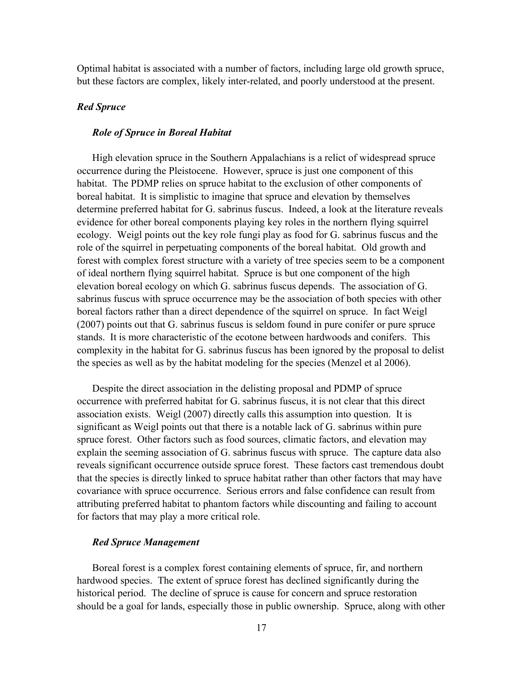Optimal habitat is associated with a number of factors, including large old growth spruce, but these factors are complex, likely inter-related, and poorly understood at the present.

### *Red Spruce*

### *Role of Spruce in Boreal Habitat*

High elevation spruce in the Southern Appalachians is a relict of widespread spruce occurrence during the Pleistocene. However, spruce is just one component of this habitat. The PDMP relies on spruce habitat to the exclusion of other components of boreal habitat. It is simplistic to imagine that spruce and elevation by themselves determine preferred habitat for G. sabrinus fuscus. Indeed, a look at the literature reveals evidence for other boreal components playing key roles in the northern flying squirrel ecology. Weigl points out the key role fungi play as food for G. sabrinus fuscus and the role of the squirrel in perpetuating components of the boreal habitat. Old growth and forest with complex forest structure with a variety of tree species seem to be a component of ideal northern flying squirrel habitat. Spruce is but one component of the high elevation boreal ecology on which G. sabrinus fuscus depends. The association of G. sabrinus fuscus with spruce occurrence may be the association of both species with other boreal factors rather than a direct dependence of the squirrel on spruce. In fact Weigl (2007) points out that G. sabrinus fuscus is seldom found in pure conifer or pure spruce stands. It is more characteristic of the ecotone between hardwoods and conifers. This complexity in the habitat for G. sabrinus fuscus has been ignored by the proposal to delist the species as well as by the habitat modeling for the species (Menzel et al 2006).

Despite the direct association in the delisting proposal and PDMP of spruce occurrence with preferred habitat for G. sabrinus fuscus, it is not clear that this direct association exists. Weigl (2007) directly calls this assumption into question. It is significant as Weigl points out that there is a notable lack of G. sabrinus within pure spruce forest. Other factors such as food sources, climatic factors, and elevation may explain the seeming association of G. sabrinus fuscus with spruce. The capture data also reveals significant occurrence outside spruce forest. These factors cast tremendous doubt that the species is directly linked to spruce habitat rather than other factors that may have covariance with spruce occurrence. Serious errors and false confidence can result from attributing preferred habitat to phantom factors while discounting and failing to account for factors that may play a more critical role.

# *Red Spruce Management*

Boreal forest is a complex forest containing elements of spruce, fir, and northern hardwood species. The extent of spruce forest has declined significantly during the historical period. The decline of spruce is cause for concern and spruce restoration should be a goal for lands, especially those in public ownership. Spruce, along with other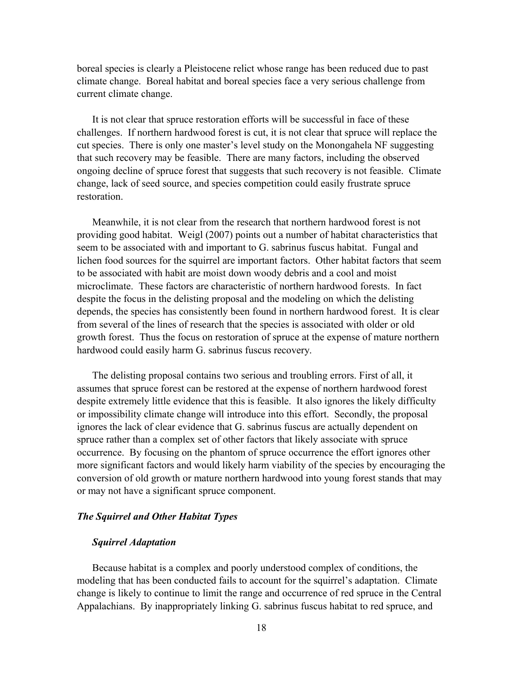boreal species is clearly a Pleistocene relict whose range has been reduced due to past climate change. Boreal habitat and boreal species face a very serious challenge from current climate change.

It is not clear that spruce restoration efforts will be successful in face of these challenges. If northern hardwood forest is cut, it is not clear that spruce will replace the cut species. There is only one master's level study on the Monongahela NF suggesting that such recovery may be feasible. There are many factors, including the observed ongoing decline of spruce forest that suggests that such recovery is not feasible. Climate change, lack of seed source, and species competition could easily frustrate spruce restoration.

Meanwhile, it is not clear from the research that northern hardwood forest is not providing good habitat. Weigl (2007) points out a number of habitat characteristics that seem to be associated with and important to G. sabrinus fuscus habitat. Fungal and lichen food sources for the squirrel are important factors. Other habitat factors that seem to be associated with habit are moist down woody debris and a cool and moist microclimate. These factors are characteristic of northern hardwood forests. In fact despite the focus in the delisting proposal and the modeling on which the delisting depends, the species has consistently been found in northern hardwood forest. It is clear from several of the lines of research that the species is associated with older or old growth forest. Thus the focus on restoration of spruce at the expense of mature northern hardwood could easily harm G. sabrinus fuscus recovery.

The delisting proposal contains two serious and troubling errors. First of all, it assumes that spruce forest can be restored at the expense of northern hardwood forest despite extremely little evidence that this is feasible. It also ignores the likely difficulty or impossibility climate change will introduce into this effort. Secondly, the proposal ignores the lack of clear evidence that G. sabrinus fuscus are actually dependent on spruce rather than a complex set of other factors that likely associate with spruce occurrence. By focusing on the phantom of spruce occurrence the effort ignores other more significant factors and would likely harm viability of the species by encouraging the conversion of old growth or mature northern hardwood into young forest stands that may or may not have a significant spruce component.

# *The Squirrel and Other Habitat Types*

# *Squirrel Adaptation*

Because habitat is a complex and poorly understood complex of conditions, the modeling that has been conducted fails to account for the squirrel's adaptation. Climate change is likely to continue to limit the range and occurrence of red spruce in the Central Appalachians. By inappropriately linking G. sabrinus fuscus habitat to red spruce, and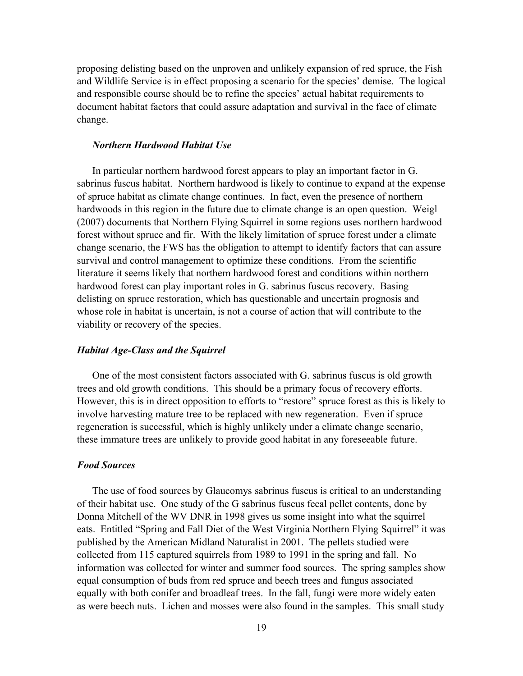proposing delisting based on the unproven and unlikely expansion of red spruce, the Fish and Wildlife Service is in effect proposing a scenario for the species' demise. The logical and responsible course should be to refine the species' actual habitat requirements to document habitat factors that could assure adaptation and survival in the face of climate change.

# *Northern Hardwood Habitat Use*

In particular northern hardwood forest appears to play an important factor in G. sabrinus fuscus habitat. Northern hardwood is likely to continue to expand at the expense of spruce habitat as climate change continues. In fact, even the presence of northern hardwoods in this region in the future due to climate change is an open question. Weigl (2007) documents that Northern Flying Squirrel in some regions uses northern hardwood forest without spruce and fir. With the likely limitation of spruce forest under a climate change scenario, the FWS has the obligation to attempt to identify factors that can assure survival and control management to optimize these conditions. From the scientific literature it seems likely that northern hardwood forest and conditions within northern hardwood forest can play important roles in G. sabrinus fuscus recovery. Basing delisting on spruce restoration, which has questionable and uncertain prognosis and whose role in habitat is uncertain, is not a course of action that will contribute to the viability or recovery of the species.

#### *Habitat Age-Class and the Squirrel*

One of the most consistent factors associated with G. sabrinus fuscus is old growth trees and old growth conditions. This should be a primary focus of recovery efforts. However, this is in direct opposition to efforts to "restore" spruce forest as this is likely to involve harvesting mature tree to be replaced with new regeneration. Even if spruce regeneration is successful, which is highly unlikely under a climate change scenario, these immature trees are unlikely to provide good habitat in any foreseeable future.

# *Food Sources*

The use of food sources by Glaucomys sabrinus fuscus is critical to an understanding of their habitat use. One study of the G sabrinus fuscus fecal pellet contents, done by Donna Mitchell of the WV DNR in 1998 gives us some insight into what the squirrel eats. Entitled "Spring and Fall Diet of the West Virginia Northern Flying Squirrel" it was published by the American Midland Naturalist in 2001. The pellets studied were collected from 115 captured squirrels from 1989 to 1991 in the spring and fall. No information was collected for winter and summer food sources. The spring samples show equal consumption of buds from red spruce and beech trees and fungus associated equally with both conifer and broadleaf trees. In the fall, fungi were more widely eaten as were beech nuts. Lichen and mosses were also found in the samples. This small study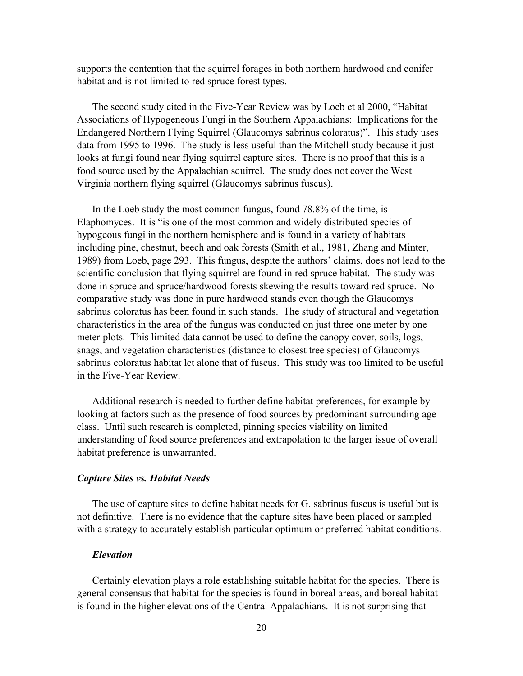supports the contention that the squirrel forages in both northern hardwood and conifer habitat and is not limited to red spruce forest types.

The second study cited in the Five-Year Review was by Loeb et al 2000, "Habitat Associations of Hypogeneous Fungi in the Southern Appalachians: Implications for the Endangered Northern Flying Squirrel (Glaucomys sabrinus coloratus)". This study uses data from 1995 to 1996. The study is less useful than the Mitchell study because it just looks at fungi found near flying squirrel capture sites. There is no proof that this is a food source used by the Appalachian squirrel. The study does not cover the West Virginia northern flying squirrel (Glaucomys sabrinus fuscus).

In the Loeb study the most common fungus, found 78.8% of the time, is Elaphomyces. It is "is one of the most common and widely distributed species of hypogeous fungi in the northern hemisphere and is found in a variety of habitats including pine, chestnut, beech and oak forests (Smith et al., 1981, Zhang and Minter, 1989) from Loeb, page 293. This fungus, despite the authors' claims, does not lead to the scientific conclusion that flying squirrel are found in red spruce habitat. The study was done in spruce and spruce/hardwood forests skewing the results toward red spruce. No comparative study was done in pure hardwood stands even though the Glaucomys sabrinus coloratus has been found in such stands. The study of structural and vegetation characteristics in the area of the fungus was conducted on just three one meter by one meter plots. This limited data cannot be used to define the canopy cover, soils, logs, snags, and vegetation characteristics (distance to closest tree species) of Glaucomys sabrinus coloratus habitat let alone that of fuscus. This study was too limited to be useful in the Five-Year Review.

Additional research is needed to further define habitat preferences, for example by looking at factors such as the presence of food sources by predominant surrounding age class. Until such research is completed, pinning species viability on limited understanding of food source preferences and extrapolation to the larger issue of overall habitat preference is unwarranted.

# *Capture Sites vs. Habitat Needs*

The use of capture sites to define habitat needs for G. sabrinus fuscus is useful but is not definitive. There is no evidence that the capture sites have been placed or sampled with a strategy to accurately establish particular optimum or preferred habitat conditions.

### *Elevation*

Certainly elevation plays a role establishing suitable habitat for the species. There is general consensus that habitat for the species is found in boreal areas, and boreal habitat is found in the higher elevations of the Central Appalachians. It is not surprising that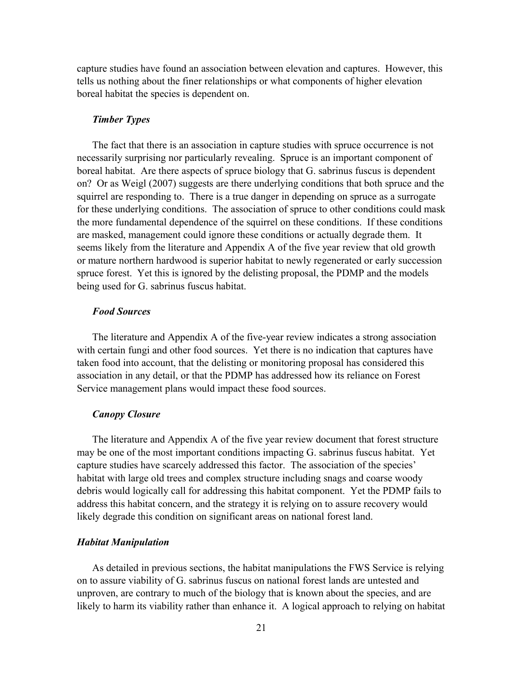capture studies have found an association between elevation and captures. However, this tells us nothing about the finer relationships or what components of higher elevation boreal habitat the species is dependent on.

### *Timber Types*

The fact that there is an association in capture studies with spruce occurrence is not necessarily surprising nor particularly revealing. Spruce is an important component of boreal habitat. Are there aspects of spruce biology that G. sabrinus fuscus is dependent on? Or as Weigl (2007) suggests are there underlying conditions that both spruce and the squirrel are responding to. There is a true danger in depending on spruce as a surrogate for these underlying conditions. The association of spruce to other conditions could mask the more fundamental dependence of the squirrel on these conditions. If these conditions are masked, management could ignore these conditions or actually degrade them. It seems likely from the literature and Appendix A of the five year review that old growth or mature northern hardwood is superior habitat to newly regenerated or early succession spruce forest. Yet this is ignored by the delisting proposal, the PDMP and the models being used for G. sabrinus fuscus habitat.

# *Food Sources*

The literature and Appendix A of the five-year review indicates a strong association with certain fungi and other food sources. Yet there is no indication that captures have taken food into account, that the delisting or monitoring proposal has considered this association in any detail, or that the PDMP has addressed how its reliance on Forest Service management plans would impact these food sources.

#### *Canopy Closure*

The literature and Appendix A of the five year review document that forest structure may be one of the most important conditions impacting G. sabrinus fuscus habitat. Yet capture studies have scarcely addressed this factor. The association of the species' habitat with large old trees and complex structure including snags and coarse woody debris would logically call for addressing this habitat component. Yet the PDMP fails to address this habitat concern, and the strategy it is relying on to assure recovery would likely degrade this condition on significant areas on national forest land.

# *Habitat Manipulation*

As detailed in previous sections, the habitat manipulations the FWS Service is relying on to assure viability of G. sabrinus fuscus on national forest lands are untested and unproven, are contrary to much of the biology that is known about the species, and are likely to harm its viability rather than enhance it. A logical approach to relying on habitat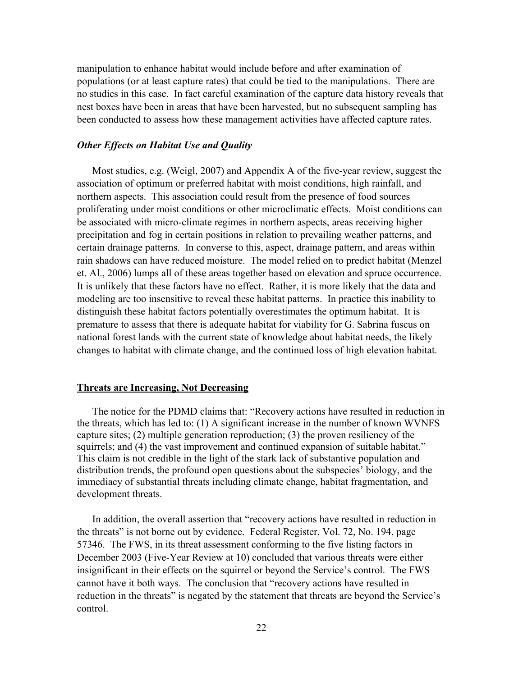manipulation to enhance habitat would include before and after examination of populations (or at least capture rates) that could be tied to the manipulations. There are no studies in this case. In fact careful examination of the capture data history reveals that nest boxes have been in areas that have been harvested, but no subsequent sampling has been conducted to assess how these management activities have affected capture rates.

# *Other Effects on Habitat Use and Quality*

Most studies, e.g. (Weigl, 2007) and Appendix A of the five-year review, suggest the association of optimum or preferred habitat with moist conditions, high rainfall, and northern aspects. This association could result from the presence of food sources proliferating under moist conditions or other microclimatic effects. Moist conditions can be associated with micro-climate regimes in northern aspects, areas receiving higher precipitation and fog in certain positions in relation to prevailing weather patterns, and certain drainage patterns. In converse to this, aspect, drainage pattern, and areas within rain shadows can have reduced moisture. The model relied on to predict habitat (Menzel et. Al., 2006) lumps all of these areas together based on elevation and spruce occurrence. It is unlikely that these factors have no effect. Rather, it is more likely that the data and modeling are too insensitive to reveal these habitat patterns. In practice this inability to distinguish these habitat factors potentially overestimates the optimum habitat. It is premature to assess that there is adequate habitat for viability for G. Sabrina fuscus on national forest lands with the current state of knowledge about habitat needs, the likely changes to habitat with climate change, and the continued loss of high elevation habitat.

#### **Threats are Increasing, Not Decreasing**

The notice for the PDMD claims that: "Recovery actions have resulted in reduction in the threats, which has led to: (1) A significant increase in the number of known WVNFS capture sites; (2) multiple generation reproduction; (3) the proven resiliency of the squirrels; and (4) the vast improvement and continued expansion of suitable habitat." This claim is not credible in the light of the stark lack of substantive population and distribution trends, the profound open questions about the subspecies' biology, and the immediacy of substantial threats including climate change, habitat fragmentation, and development threats.

In addition, the overall assertion that "recovery actions have resulted in reduction in the threats" is not borne out by evidence. Federal Register, Vol. 72, No. 194, page 57346. The FWS, in its threat assessment conforming to the five listing factors in December 2003 (Five-Year Review at 10) concluded that various threats were either insignificant in their effects on the squirrel or beyond the Service's control. The FWS cannot have it both ways. The conclusion that "recovery actions have resulted in reduction in the threats" is negated by the statement that threats are beyond the Service's control.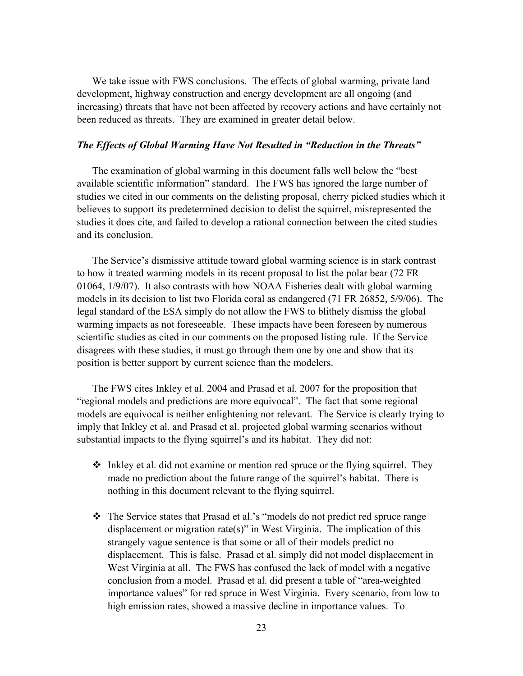We take issue with FWS conclusions. The effects of global warming, private land development, highway construction and energy development are all ongoing (and increasing) threats that have not been affected by recovery actions and have certainly not been reduced as threats. They are examined in greater detail below.

# *The Effects of Global Warming Have Not Resulted in "Reduction in the Threats"*

The examination of global warming in this document falls well below the "best available scientific information" standard. The FWS has ignored the large number of studies we cited in our comments on the delisting proposal, cherry picked studies which it believes to support its predetermined decision to delist the squirrel, misrepresented the studies it does cite, and failed to develop a rational connection between the cited studies and its conclusion.

The Service's dismissive attitude toward global warming science is in stark contrast to how it treated warming models in its recent proposal to list the polar bear (72 FR 01064, 1/9/07). It also contrasts with how NOAA Fisheries dealt with global warming models in its decision to list two Florida coral as endangered (71 FR 26852, 5/9/06). The legal standard of the ESA simply do not allow the FWS to blithely dismiss the global warming impacts as not foreseeable. These impacts have been foreseen by numerous scientific studies as cited in our comments on the proposed listing rule. If the Service disagrees with these studies, it must go through them one by one and show that its position is better support by current science than the modelers.

The FWS cites Inkley et al. 2004 and Prasad et al. 2007 for the proposition that "regional models and predictions are more equivocal". The fact that some regional models are equivocal is neither enlightening nor relevant. The Service is clearly trying to imply that Inkley et al. and Prasad et al. projected global warming scenarios without substantial impacts to the flying squirrel's and its habitat. They did not:

- $\triangle$  Inkley et al. did not examine or mention red spruce or the flying squirrel. They made no prediction about the future range of the squirrel's habitat. There is nothing in this document relevant to the flying squirrel.
- \* The Service states that Prasad et al.'s "models do not predict red spruce range displacement or migration rate(s)" in West Virginia. The implication of this strangely vague sentence is that some or all of their models predict no displacement. This is false. Prasad et al. simply did not model displacement in West Virginia at all. The FWS has confused the lack of model with a negative conclusion from a model. Prasad et al. did present a table of "area-weighted importance values" for red spruce in West Virginia. Every scenario, from low to high emission rates, showed a massive decline in importance values. To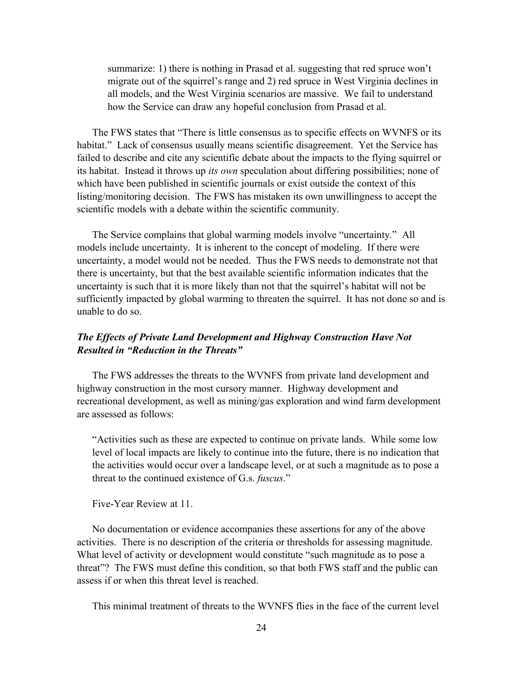summarize: 1) there is nothing in Prasad et al. suggesting that red spruce won't migrate out of the squirrel's range and 2) red spruce in West Virginia declines in all models, and the West Virginia scenarios are massive. We fail to understand how the Service can draw any hopeful conclusion from Prasad et al.

The FWS states that "There is little consensus as to specific effects on WVNFS or its habitat." Lack of consensus usually means scientific disagreement. Yet the Service has failed to describe and cite any scientific debate about the impacts to the flying squirrel or its habitat. Instead it throws up *its own* speculation about differing possibilities; none of which have been published in scientific journals or exist outside the context of this listing/monitoring decision. The FWS has mistaken its own unwillingness to accept the scientific models with a debate within the scientific community.

The Service complains that global warming models involve "uncertainty." All models include uncertainty. It is inherent to the concept of modeling. If there were uncertainty, a model would not be needed. Thus the FWS needs to demonstrate not that there is uncertainty, but that the best available scientific information indicates that the uncertainty is such that it is more likely than not that the squirrel's habitat will not be sufficiently impacted by global warming to threaten the squirrel. It has not done so and is unable to do so.

# *The Effects of Private Land Development and Highway Construction Have Not Resulted in "Reduction in the Threats"*

The FWS addresses the threats to the WVNFS from private land development and highway construction in the most cursory manner. Highway development and recreational development, as well as mining/gas exploration and wind farm development are assessed as follows:

"Activities such as these are expected to continue on private lands. While some low level of local impacts are likely to continue into the future, there is no indication that the activities would occur over a landscape level, or at such a magnitude as to pose a threat to the continued existence of G.s. *fuscus*."

Five-Year Review at 11.

No documentation or evidence accompanies these assertions for any of the above activities. There is no description of the criteria or thresholds for assessing magnitude. What level of activity or development would constitute "such magnitude as to pose a threat"? The FWS must define this condition, so that both FWS staff and the public can assess if or when this threat level is reached.

This minimal treatment of threats to the WVNFS flies in the face of the current level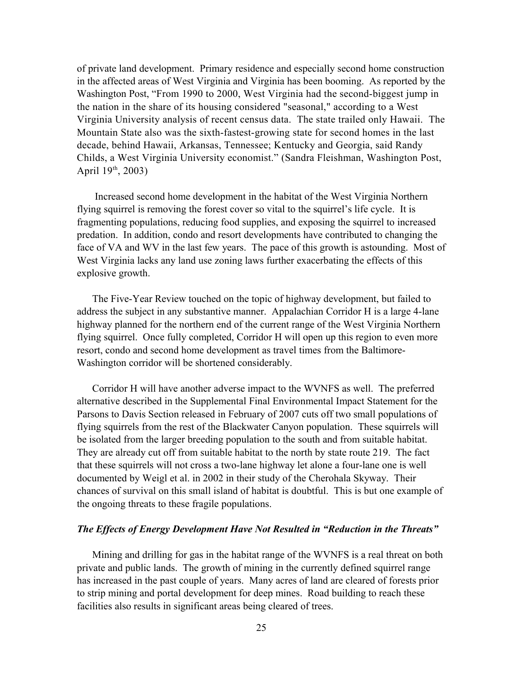of private land development. Primary residence and especially second home construction in the affected areas of West Virginia and Virginia has been booming. As reported by the Washington Post, "From 1990 to 2000, West Virginia had the second-biggest jump in the nation in the share of its housing considered "seasonal," according to a West Virginia University analysis of recent census data. The state trailed only Hawaii. The Mountain State also was the sixth-fastest-growing state for second homes in the last decade, behind Hawaii, Arkansas, Tennessee; Kentucky and Georgia, said Randy Childs, a West Virginia University economist." (Sandra Fleishman, Washington Post, April 19<sup>th</sup>, 2003)

Increased second home development in the habitat of the West Virginia Northern flying squirrel is removing the forest cover so vital to the squirrel's life cycle. It is fragmenting populations, reducing food supplies, and exposing the squirrel to increased predation. In addition, condo and resort developments have contributed to changing the face of VA and WV in the last few years. The pace of this growth is astounding. Most of West Virginia lacks any land use zoning laws further exacerbating the effects of this explosive growth.

The Five-Year Review touched on the topic of highway development, but failed to address the subject in any substantive manner. Appalachian Corridor H is a large 4-lane highway planned for the northern end of the current range of the West Virginia Northern flying squirrel. Once fully completed, Corridor H will open up this region to even more resort, condo and second home development as travel times from the Baltimore-Washington corridor will be shortened considerably.

Corridor H will have another adverse impact to the WVNFS as well. The preferred alternative described in the Supplemental Final Environmental Impact Statement for the Parsons to Davis Section released in February of 2007 cuts off two small populations of flying squirrels from the rest of the Blackwater Canyon population. These squirrels will be isolated from the larger breeding population to the south and from suitable habitat. They are already cut off from suitable habitat to the north by state route 219. The fact that these squirrels will not cross a two-lane highway let alone a four-lane one is well documented by Weigl et al. in 2002 in their study of the Cherohala Skyway. Their chances of survival on this small island of habitat is doubtful. This is but one example of the ongoing threats to these fragile populations.

#### *The Effects of Energy Development Have Not Resulted in "Reduction in the Threats"*

Mining and drilling for gas in the habitat range of the WVNFS is a real threat on both private and public lands. The growth of mining in the currently defined squirrel range has increased in the past couple of years. Many acres of land are cleared of forests prior to strip mining and portal development for deep mines. Road building to reach these facilities also results in significant areas being cleared of trees.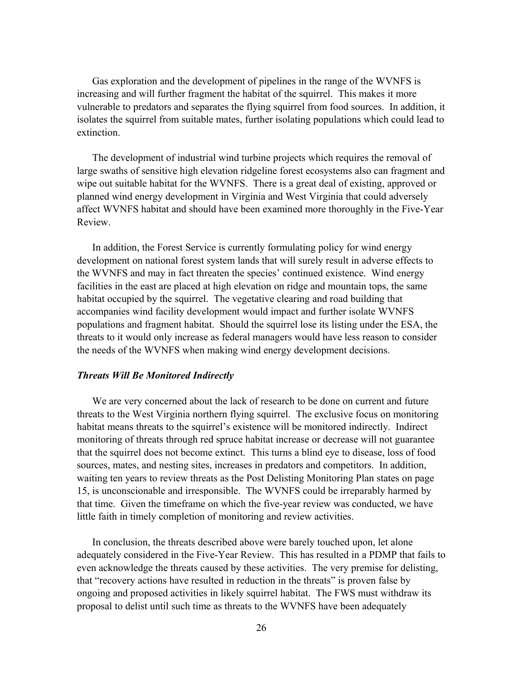Gas exploration and the development of pipelines in the range of the WVNFS is increasing and will further fragment the habitat of the squirrel. This makes it more vulnerable to predators and separates the flying squirrel from food sources. In addition, it isolates the squirrel from suitable mates, further isolating populations which could lead to extinction.

The development of industrial wind turbine projects which requires the removal of large swaths of sensitive high elevation ridgeline forest ecosystems also can fragment and wipe out suitable habitat for the WVNFS. There is a great deal of existing, approved or planned wind energy development in Virginia and West Virginia that could adversely affect WVNFS habitat and should have been examined more thoroughly in the Five-Year Review.

In addition, the Forest Service is currently formulating policy for wind energy development on national forest system lands that will surely result in adverse effects to the WVNFS and may in fact threaten the species' continued existence. Wind energy facilities in the east are placed at high elevation on ridge and mountain tops, the same habitat occupied by the squirrel. The vegetative clearing and road building that accompanies wind facility development would impact and further isolate WVNFS populations and fragment habitat. Should the squirrel lose its listing under the ESA, the threats to it would only increase as federal managers would have less reason to consider the needs of the WVNFS when making wind energy development decisions.

#### *Threats Will Be Monitored Indirectly*

We are very concerned about the lack of research to be done on current and future threats to the West Virginia northern flying squirrel. The exclusive focus on monitoring habitat means threats to the squirrel's existence will be monitored indirectly. Indirect monitoring of threats through red spruce habitat increase or decrease will not guarantee that the squirrel does not become extinct. This turns a blind eye to disease, loss of food sources, mates, and nesting sites, increases in predators and competitors. In addition, waiting ten years to review threats as the Post Delisting Monitoring Plan states on page 15, is unconscionable and irresponsible. The WVNFS could be irreparably harmed by that time. Given the timeframe on which the five-year review was conducted, we have little faith in timely completion of monitoring and review activities.

In conclusion, the threats described above were barely touched upon, let alone adequately considered in the Five-Year Review. This has resulted in a PDMP that fails to even acknowledge the threats caused by these activities. The very premise for delisting, that "recovery actions have resulted in reduction in the threats" is proven false by ongoing and proposed activities in likely squirrel habitat. The FWS must withdraw its proposal to delist until such time as threats to the WVNFS have been adequately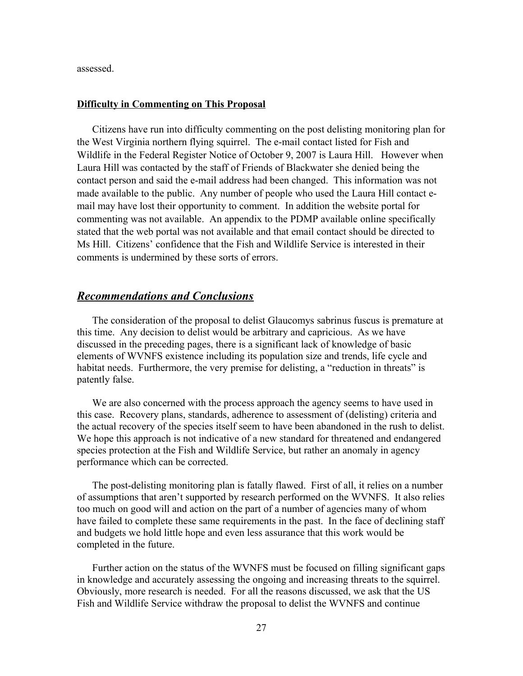assessed.

# **Difficulty in Commenting on This Proposal**

Citizens have run into difficulty commenting on the post delisting monitoring plan for the West Virginia northern flying squirrel. The e-mail contact listed for Fish and Wildlife in the Federal Register Notice of October 9, 2007 is Laura Hill. However when Laura Hill was contacted by the staff of Friends of Blackwater she denied being the contact person and said the e-mail address had been changed. This information was not made available to the public. Any number of people who used the Laura Hill contact email may have lost their opportunity to comment. In addition the website portal for commenting was not available. An appendix to the PDMP available online specifically stated that the web portal was not available and that email contact should be directed to Ms Hill. Citizens' confidence that the Fish and Wildlife Service is interested in their comments is undermined by these sorts of errors.

# *Recommendations and Conclusions*

The consideration of the proposal to delist Glaucomys sabrinus fuscus is premature at this time. Any decision to delist would be arbitrary and capricious. As we have discussed in the preceding pages, there is a significant lack of knowledge of basic elements of WVNFS existence including its population size and trends, life cycle and habitat needs. Furthermore, the very premise for delisting, a "reduction in threats" is patently false.

We are also concerned with the process approach the agency seems to have used in this case. Recovery plans, standards, adherence to assessment of (delisting) criteria and the actual recovery of the species itself seem to have been abandoned in the rush to delist. We hope this approach is not indicative of a new standard for threatened and endangered species protection at the Fish and Wildlife Service, but rather an anomaly in agency performance which can be corrected.

The post-delisting monitoring plan is fatally flawed. First of all, it relies on a number of assumptions that aren't supported by research performed on the WVNFS. It also relies too much on good will and action on the part of a number of agencies many of whom have failed to complete these same requirements in the past. In the face of declining staff and budgets we hold little hope and even less assurance that this work would be completed in the future.

Further action on the status of the WVNFS must be focused on filling significant gaps in knowledge and accurately assessing the ongoing and increasing threats to the squirrel. Obviously, more research is needed. For all the reasons discussed, we ask that the US Fish and Wildlife Service withdraw the proposal to delist the WVNFS and continue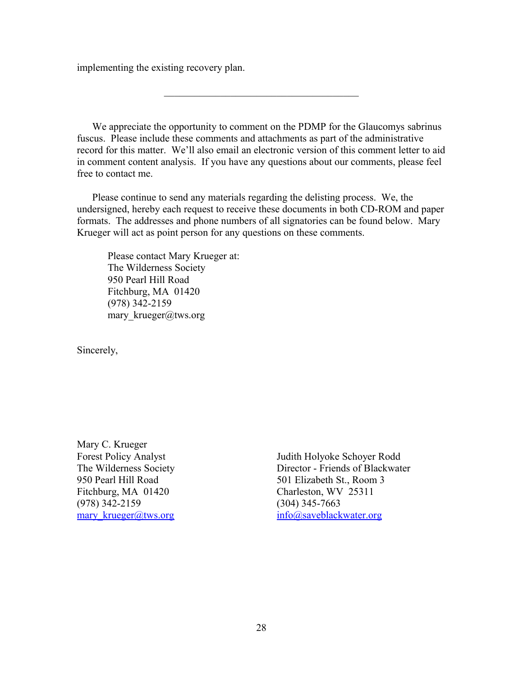implementing the existing recovery plan.

We appreciate the opportunity to comment on the PDMP for the Glaucomys sabrinus fuscus. Please include these comments and attachments as part of the administrative record for this matter. We'll also email an electronic version of this comment letter to aid in comment content analysis. If you have any questions about our comments, please feel free to contact me.

Please continue to send any materials regarding the delisting process. We, the undersigned, hereby each request to receive these documents in both CD-ROM and paper formats. The addresses and phone numbers of all signatories can be found below. Mary Krueger will act as point person for any questions on these comments.

Please contact Mary Krueger at: The Wilderness Society 950 Pearl Hill Road Fitchburg, MA 01420 (978) 342-2159 mary krueger@tws.org

Sincerely,

Mary C. Krueger Forest Policy Analyst The Wilderness Society 950 Pearl Hill Road Fitchburg, MA 01420 (978) 342-2159 mary krueger@tws.org

Judith Holyoke Schoyer Rodd Director - Friends of Blackwater 501 Elizabeth St., Room 3 Charleston, WV 25311 (304) 345-7663 [info@saveblackwater.org](mailto:info@saveblackwater.org)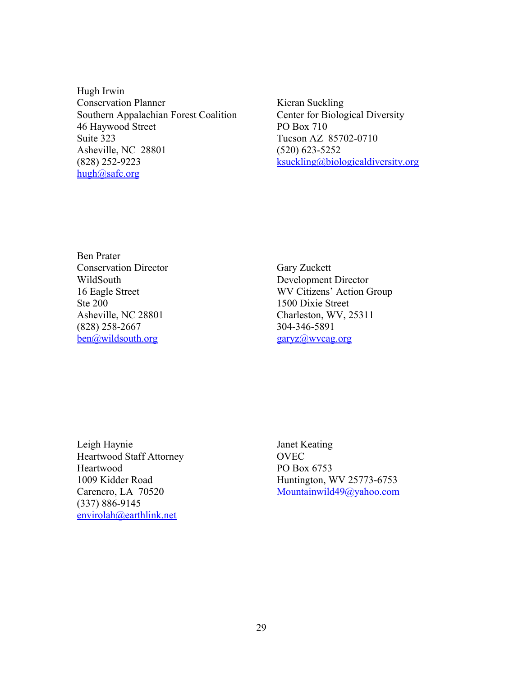Hugh Irwin Conservation Planner Southern Appalachian Forest Coalition 46 Haywood Street Suite 323 Asheville, NC 28801 (828) 252-9223 [hugh@safc.org](mailto:hugh@safc.org)

Kieran Suckling Center for Biological Diversity PO Box 710 Tucson AZ 85702-0710 (520) 623-5252 [ksuckling@biologicaldiversity.org](mailto:ksuckling@biologicaldiversity.org)

Ben Prater Conservation Director WildSouth 16 Eagle Street Ste 200 Asheville, NC 28801 (828) 258-2667 [ben@wildsouth.org](mailto:ben@wildsouth.org)

Gary Zuckett Development Director WV Citizens' Action Group 1500 Dixie Street Charleston, WV, 25311 304-346-5891 [garyz@wvcag.org](mailto:garyz@wvcag.org)

Leigh Haynie Heartwood Staff Attorney Heartwood 1009 Kidder Road Carencro, LA 70520 (337) 886-9145 [envirolah@earthlink.net](mailto:envirolah@earthlink.net)

Janet Keating **OVEC** PO Box 6753 Huntington, WV 25773-6753 [Mountainwild49@yahoo.com](mailto:Mountainwild49@yahoo.com)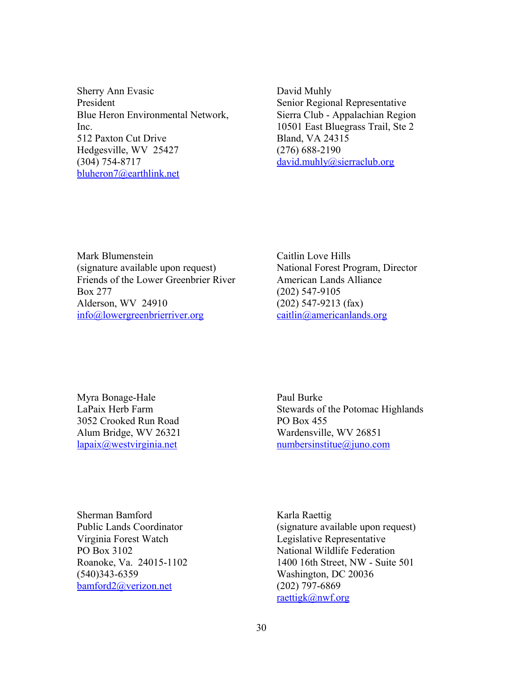Sherry Ann Evasic President Blue Heron Environmental Network, Inc. 512 Paxton Cut Drive Hedgesville, WV 25427 (304) 754-8717 [bluheron7@earthlink.net](mailto:bluheron7@earthlink.net)

David Muhly Senior Regional Representative Sierra Club - Appalachian Region 10501 East Bluegrass Trail, Ste 2 Bland, VA 24315 (276) 688-2190 [david.muhly@sierraclub.org](mailto:david.muhly@sierraclub.org)

Mark Blumenstein (signature available upon request) Friends of the Lower Greenbrier River Box 277 Alderson, WV 24910 [info@lowergreenbrierriver.org](mailto:info@lowergreenbrierriver.org)

Caitlin Love Hills National Forest Program, Director American Lands Alliance (202) 547-9105 (202) 547-9213 (fax) [caitlin@americanlands.org](mailto:caitlin@americanlands.org)

Myra Bonage-Hale LaPaix Herb Farm 3052 Crooked Run Road Alum Bridge, WV 26321 [lapaix@westvirginia.net](mailto:lapaix@westvirginia.net)

Paul Burke Stewards of the Potomac Highlands PO Box 455 Wardensville, WV 26851 [numbersinstitue@juno.com](mailto:numbersinstitue@juno.com)

Sherman Bamford Public Lands Coordinator Virginia Forest Watch PO Box 3102 Roanoke, Va. 24015-1102 (540)343-6359 [bamford2@verizon.net](mailto:bamford2@verizon.net)

Karla Raettig (signature available upon request) Legislative Representative National Wildlife Federation 1400 16th Street, NW - Suite 501 Washington, DC 20036 (202) 797-6869 [raettigk@nwf.org](mailto:raettigk@nwf.org)